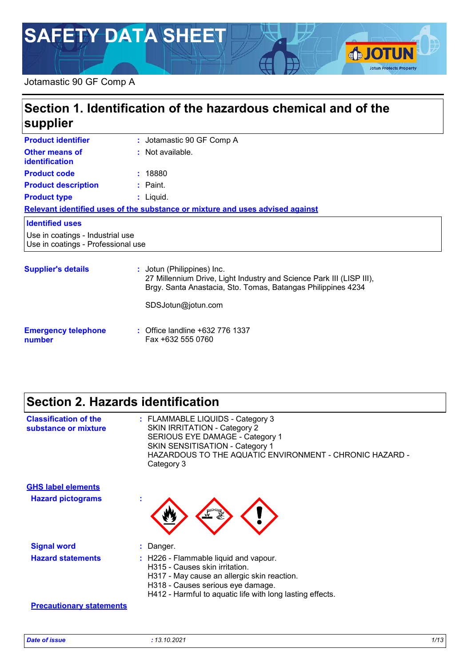# **SAFETY DATA SHEET**

#### Jotamastic 90 GF Comp A

## **Section 1. Identification of the hazardous chemical and of the supplier**

| <b>Product identifier</b>                                              | : Jotamastic 90 GF Comp A                                                                          |
|------------------------------------------------------------------------|----------------------------------------------------------------------------------------------------|
| <b>Other means of</b><br><b>identification</b>                         | : Not available.                                                                                   |
| <b>Product code</b>                                                    | : 18880                                                                                            |
| <b>Product description</b>                                             | $:$ Paint.                                                                                         |
| <b>Product type</b>                                                    | $:$ Liquid.                                                                                        |
|                                                                        | Relevant identified uses of the substance or mixture and uses advised against                      |
| <b>Identified uses</b>                                                 |                                                                                                    |
| Use in coatings - Industrial use<br>Use in coatings - Professional use |                                                                                                    |
| <b>Supplier's details</b>                                              | : Jotun (Philippines) Inc.<br>27 Millennium Drive, Light Industry and Science Park III (LISP III), |

Brgy. Santa Anastacia, Sto. Tomas, Batangas Philippines 4234

SDSJotun@jotun.com

#### **Emergency telephone number :** Office landline +632 776 1337 Fax +632 555 0760

## **Section 2. Hazards identification**

| <b>Classification of the</b><br>substance or mixture | : FLAMMABLE LIQUIDS - Category 3<br><b>SKIN IRRITATION - Category 2</b><br>SERIOUS EYE DAMAGE - Category 1<br><b>SKIN SENSITISATION - Category 1</b><br>HAZARDOUS TO THE AQUATIC ENVIRONMENT - CHRONIC HAZARD -<br>Category 3 |
|------------------------------------------------------|-------------------------------------------------------------------------------------------------------------------------------------------------------------------------------------------------------------------------------|
| <b>GHS label elements</b>                            |                                                                                                                                                                                                                               |
| <b>Hazard pictograms</b>                             | $\mathbf{r}$                                                                                                                                                                                                                  |
| <b>Signal word</b>                                   | : Danger.                                                                                                                                                                                                                     |
| <b>Hazard statements</b>                             | : H226 - Flammable liquid and vapour.<br>H315 - Causes skin irritation.<br>H317 - May cause an allergic skin reaction.<br>H318 - Causes serious eye damage.<br>H412 - Harmful to aquatic life with long lasting effects.      |
| <b>Precautionary statements</b>                      |                                                                                                                                                                                                                               |

**SJOTUN** 

**Jotun Protects Property**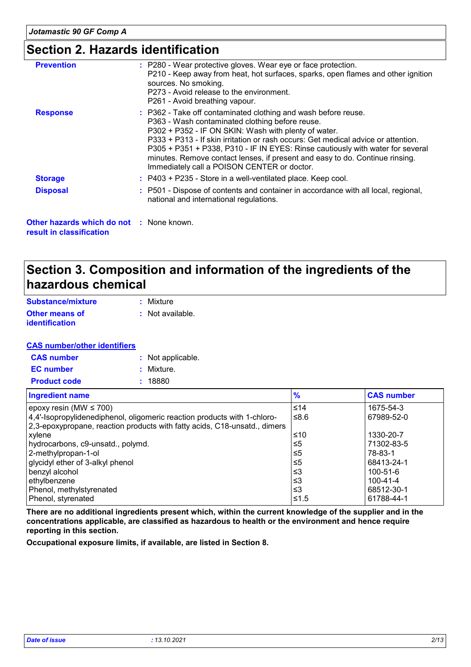### **Section 2. Hazards identification**

| <b>Prevention</b> | : P280 - Wear protective gloves. Wear eye or face protection.<br>P210 - Keep away from heat, hot surfaces, sparks, open flames and other ignition<br>sources. No smoking.<br>P273 - Avoid release to the environment.<br>P261 - Avoid breathing vapour.                                                                                                                                                                                                                         |
|-------------------|---------------------------------------------------------------------------------------------------------------------------------------------------------------------------------------------------------------------------------------------------------------------------------------------------------------------------------------------------------------------------------------------------------------------------------------------------------------------------------|
| <b>Response</b>   | : P362 - Take off contaminated clothing and wash before reuse.<br>P363 - Wash contaminated clothing before reuse.<br>P302 + P352 - IF ON SKIN: Wash with plenty of water.<br>P333 + P313 - If skin irritation or rash occurs: Get medical advice or attention.<br>P305 + P351 + P338, P310 - IF IN EYES: Rinse cautiously with water for several<br>minutes. Remove contact lenses, if present and easy to do. Continue rinsing.<br>Immediately call a POISON CENTER or doctor. |
| <b>Storage</b>    | : P403 + P235 - Store in a well-ventilated place. Keep cool.                                                                                                                                                                                                                                                                                                                                                                                                                    |
| <b>Disposal</b>   | : P501 - Dispose of contents and container in accordance with all local, regional,<br>national and international regulations.                                                                                                                                                                                                                                                                                                                                                   |

**Other hazards which do not :** None known. **result in classification**

### **Section 3. Composition and information of the ingredients of the hazardous chemical**

| Substance/mixture     | : Mixture        |
|-----------------------|------------------|
| <b>Other means of</b> | : Not available. |
| <i>identification</i> |                  |

#### **CAS number/other identifiers**

| <b>CAS</b> number   | : Not applicable. |
|---------------------|-------------------|
| <b>EC</b> number    | : Mixture.        |
| <b>Product code</b> | : 18880           |

| <b>Ingredient name</b>                                                    | $\frac{9}{6}$ | <b>CAS number</b> |
|---------------------------------------------------------------------------|---------------|-------------------|
| epoxy resin (MW $\leq$ 700)                                               | $≤14$         | 1675-54-3         |
| 4,4'-Isopropylidenediphenol, oligomeric reaction products with 1-chloro-  | ≤8.6          | 67989-52-0        |
| 2,3-epoxypropane, reaction products with fatty acids, C18-unsatd., dimers |               |                   |
| xylene                                                                    | ≤10           | 1330-20-7         |
| hydrocarbons, c9-unsatd., polymd.                                         | ≤5            | 71302-83-5        |
| 2-methylpropan-1-ol                                                       | ≤5            | 78-83-1           |
| glycidyl ether of 3-alkyl phenol                                          | ≤5            | 68413-24-1        |
| benzyl alcohol                                                            | וצ≥           | 100-51-6          |
| ethylbenzene                                                              | וצ≥           | $100 - 41 - 4$    |
| Phenol, methylstyrenated                                                  | ≤3            | 68512-30-1        |
| Phenol, styrenated                                                        | ≤1.5          | 61788-44-1        |

**There are no additional ingredients present which, within the current knowledge of the supplier and in the concentrations applicable, are classified as hazardous to health or the environment and hence require reporting in this section.**

**Occupational exposure limits, if available, are listed in Section 8.**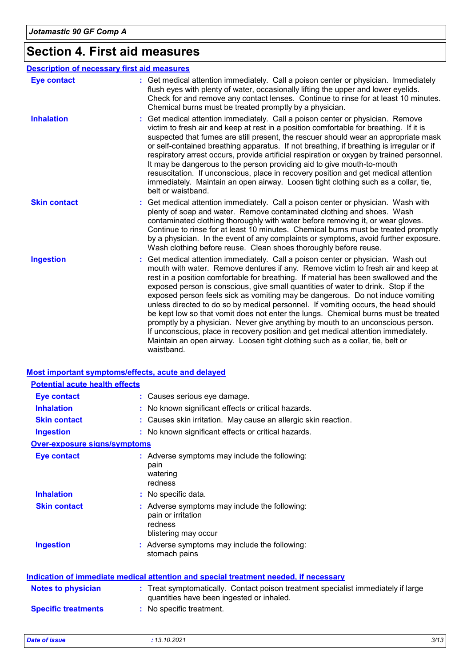## **Section 4. First aid measures**

|                     | <b>Description of necessary first aid measures</b>                                                                                                                                                                                                                                                                                                                                                                                                                                                                                                                                                                                                                                                                                                                                                                                                                                   |
|---------------------|--------------------------------------------------------------------------------------------------------------------------------------------------------------------------------------------------------------------------------------------------------------------------------------------------------------------------------------------------------------------------------------------------------------------------------------------------------------------------------------------------------------------------------------------------------------------------------------------------------------------------------------------------------------------------------------------------------------------------------------------------------------------------------------------------------------------------------------------------------------------------------------|
| <b>Eye contact</b>  | : Get medical attention immediately. Call a poison center or physician. Immediately<br>flush eyes with plenty of water, occasionally lifting the upper and lower eyelids.<br>Check for and remove any contact lenses. Continue to rinse for at least 10 minutes.<br>Chemical burns must be treated promptly by a physician.                                                                                                                                                                                                                                                                                                                                                                                                                                                                                                                                                          |
| <b>Inhalation</b>   | Get medical attention immediately. Call a poison center or physician. Remove<br>victim to fresh air and keep at rest in a position comfortable for breathing. If it is<br>suspected that fumes are still present, the rescuer should wear an appropriate mask<br>or self-contained breathing apparatus. If not breathing, if breathing is irregular or if<br>respiratory arrest occurs, provide artificial respiration or oxygen by trained personnel.<br>It may be dangerous to the person providing aid to give mouth-to-mouth<br>resuscitation. If unconscious, place in recovery position and get medical attention<br>immediately. Maintain an open airway. Loosen tight clothing such as a collar, tie,<br>belt or waistband.                                                                                                                                                  |
| <b>Skin contact</b> | Get medical attention immediately. Call a poison center or physician. Wash with<br>plenty of soap and water. Remove contaminated clothing and shoes. Wash<br>contaminated clothing thoroughly with water before removing it, or wear gloves.<br>Continue to rinse for at least 10 minutes. Chemical burns must be treated promptly<br>by a physician. In the event of any complaints or symptoms, avoid further exposure.<br>Wash clothing before reuse. Clean shoes thoroughly before reuse.                                                                                                                                                                                                                                                                                                                                                                                        |
| <b>Ingestion</b>    | Get medical attention immediately. Call a poison center or physician. Wash out<br>mouth with water. Remove dentures if any. Remove victim to fresh air and keep at<br>rest in a position comfortable for breathing. If material has been swallowed and the<br>exposed person is conscious, give small quantities of water to drink. Stop if the<br>exposed person feels sick as vomiting may be dangerous. Do not induce vomiting<br>unless directed to do so by medical personnel. If vomiting occurs, the head should<br>be kept low so that vomit does not enter the lungs. Chemical burns must be treated<br>promptly by a physician. Never give anything by mouth to an unconscious person.<br>If unconscious, place in recovery position and get medical attention immediately.<br>Maintain an open airway. Loosen tight clothing such as a collar, tie, belt or<br>waistband. |

#### **Most important symptoms/effects, acute and delayed**

| <b>Potential acute health effects</b> |                                                                                                                                |
|---------------------------------------|--------------------------------------------------------------------------------------------------------------------------------|
| <b>Eye contact</b>                    | : Causes serious eye damage.                                                                                                   |
| <b>Inhalation</b>                     | No known significant effects or critical hazards.                                                                              |
| <b>Skin contact</b>                   | Causes skin irritation. May cause an allergic skin reaction.                                                                   |
| <b>Ingestion</b>                      | : No known significant effects or critical hazards.                                                                            |
| <b>Over-exposure signs/symptoms</b>   |                                                                                                                                |
| <b>Eye contact</b>                    | : Adverse symptoms may include the following:<br>pain<br>watering<br>redness                                                   |
| <b>Inhalation</b>                     | : No specific data.                                                                                                            |
| <b>Skin contact</b>                   | : Adverse symptoms may include the following:<br>pain or irritation<br>redness<br>blistering may occur                         |
| <b>Ingestion</b>                      | : Adverse symptoms may include the following:<br>stomach pains                                                                 |
|                                       | <b>Indication of immediate medical attention and special treatment needed, if necessary</b>                                    |
| <b>Notes to physician</b>             | : Treat symptomatically. Contact poison treatment specialist immediately if large<br>quantities have been ingested or inhaled. |
| <b>Specific treatments</b>            | : No specific treatment.                                                                                                       |
|                                       |                                                                                                                                |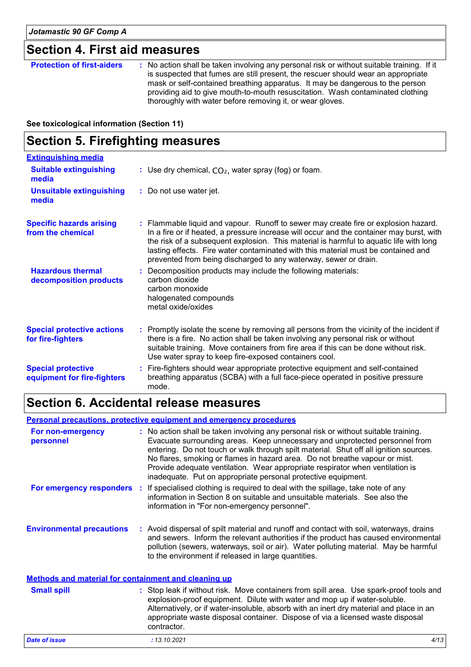### **Section 4. First aid measures**

| thoroughly with water before removing it, or wear gloves. |
|-----------------------------------------------------------|
|-----------------------------------------------------------|

**See toxicological information (Section 11)**

## **Section 5. Firefighting measures**

| <b>Extinguishing media</b>                               |                                                                                                                                                                                                                                                                                                                                                                                                                                    |
|----------------------------------------------------------|------------------------------------------------------------------------------------------------------------------------------------------------------------------------------------------------------------------------------------------------------------------------------------------------------------------------------------------------------------------------------------------------------------------------------------|
| <b>Suitable extinguishing</b><br>media                   | : Use dry chemical, $CO2$ , water spray (fog) or foam.                                                                                                                                                                                                                                                                                                                                                                             |
| <b>Unsuitable extinguishing</b><br>media                 | : Do not use water jet.                                                                                                                                                                                                                                                                                                                                                                                                            |
| <b>Specific hazards arising</b><br>from the chemical     | : Flammable liquid and vapour. Runoff to sewer may create fire or explosion hazard.<br>In a fire or if heated, a pressure increase will occur and the container may burst, with<br>the risk of a subsequent explosion. This material is harmful to aquatic life with long<br>lasting effects. Fire water contaminated with this material must be contained and<br>prevented from being discharged to any waterway, sewer or drain. |
| <b>Hazardous thermal</b><br>decomposition products       | : Decomposition products may include the following materials:<br>carbon dioxide<br>carbon monoxide<br>halogenated compounds<br>metal oxide/oxides                                                                                                                                                                                                                                                                                  |
| <b>Special protective actions</b><br>for fire-fighters   | : Promptly isolate the scene by removing all persons from the vicinity of the incident if<br>there is a fire. No action shall be taken involving any personal risk or without<br>suitable training. Move containers from fire area if this can be done without risk.<br>Use water spray to keep fire-exposed containers cool.                                                                                                      |
| <b>Special protective</b><br>equipment for fire-fighters | : Fire-fighters should wear appropriate protective equipment and self-contained<br>breathing apparatus (SCBA) with a full face-piece operated in positive pressure<br>mode.                                                                                                                                                                                                                                                        |

## **Section 6. Accidental release measures**

**Environmental precautions Personal precautions, protective equipment and emergency procedures :** Avoid dispersal of spilt material and runoff and contact with soil, waterways, drains **:** No action shall be taken involving any personal risk or without suitable training. Evacuate surrounding areas. Keep unnecessary and unprotected personnel from entering. Do not touch or walk through spilt material. Shut off all ignition sources. No flares, smoking or flames in hazard area. Do not breathe vapour or mist. Provide adequate ventilation. Wear appropriate respirator when ventilation is inadequate. Put on appropriate personal protective equipment. and sewers. Inform the relevant authorities if the product has caused environmental pollution (sewers, waterways, soil or air). Water polluting material. May be harmful to the environment if released in large quantities. **Methods and material for containment and cleaning up For non-emergency personnel For emergency responders** : If specialised clothing is required to deal with the spillage, take note of any information in Section 8 on suitable and unsuitable materials. See also the information in "For non-emergency personnel".

| <b>Small spill</b> | : Stop leak if without risk. Move containers from spill area. Use spark-proof tools and<br>explosion-proof equipment. Dilute with water and mop up if water-soluble.<br>Alternatively, or if water-insoluble, absorb with an inert dry material and place in an<br>appropriate waste disposal container. Dispose of via a licensed waste disposal<br>contractor. |
|--------------------|------------------------------------------------------------------------------------------------------------------------------------------------------------------------------------------------------------------------------------------------------------------------------------------------------------------------------------------------------------------|
|                    |                                                                                                                                                                                                                                                                                                                                                                  |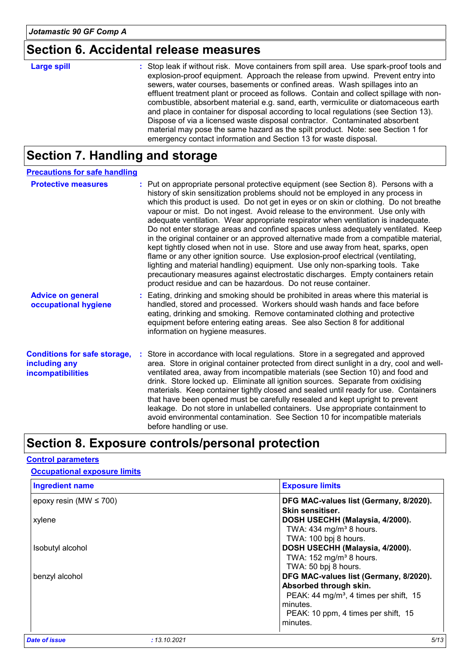## **Section 6. Accidental release measures**

| <b>Large spill</b> | : Stop leak if without risk. Move containers from spill area. Use spark-proof tools and<br>explosion-proof equipment. Approach the release from upwind. Prevent entry into<br>sewers, water courses, basements or confined areas. Wash spillages into an<br>effluent treatment plant or proceed as follows. Contain and collect spillage with non-<br>combustible, absorbent material e.g. sand, earth, vermiculite or diatomaceous earth<br>and place in container for disposal according to local regulations (see Section 13).<br>Dispose of via a licensed waste disposal contractor. Contaminated absorbent<br>material may pose the same hazard as the spilt product. Note: see Section 1 for |
|--------------------|-----------------------------------------------------------------------------------------------------------------------------------------------------------------------------------------------------------------------------------------------------------------------------------------------------------------------------------------------------------------------------------------------------------------------------------------------------------------------------------------------------------------------------------------------------------------------------------------------------------------------------------------------------------------------------------------------------|
|                    | emergency contact information and Section 13 for waste disposal.                                                                                                                                                                                                                                                                                                                                                                                                                                                                                                                                                                                                                                    |

## **Section 7. Handling and storage**

| <b>Precautions for safe handling</b>                                             |                                                                                                                                                                                                                                                                                                                                                                                                                                                                                                                                                                                                                                                                                                                                                                                                                                                                                                                                                                                                                                 |
|----------------------------------------------------------------------------------|---------------------------------------------------------------------------------------------------------------------------------------------------------------------------------------------------------------------------------------------------------------------------------------------------------------------------------------------------------------------------------------------------------------------------------------------------------------------------------------------------------------------------------------------------------------------------------------------------------------------------------------------------------------------------------------------------------------------------------------------------------------------------------------------------------------------------------------------------------------------------------------------------------------------------------------------------------------------------------------------------------------------------------|
| <b>Protective measures</b>                                                       | : Put on appropriate personal protective equipment (see Section 8). Persons with a<br>history of skin sensitization problems should not be employed in any process in<br>which this product is used. Do not get in eyes or on skin or clothing. Do not breathe<br>vapour or mist. Do not ingest. Avoid release to the environment. Use only with<br>adequate ventilation. Wear appropriate respirator when ventilation is inadequate.<br>Do not enter storage areas and confined spaces unless adequately ventilated. Keep<br>in the original container or an approved alternative made from a compatible material,<br>kept tightly closed when not in use. Store and use away from heat, sparks, open<br>flame or any other ignition source. Use explosion-proof electrical (ventilating,<br>lighting and material handling) equipment. Use only non-sparking tools. Take<br>precautionary measures against electrostatic discharges. Empty containers retain<br>product residue and can be hazardous. Do not reuse container. |
| <b>Advice on general</b><br>occupational hygiene                                 | : Eating, drinking and smoking should be prohibited in areas where this material is<br>handled, stored and processed. Workers should wash hands and face before<br>eating, drinking and smoking. Remove contaminated clothing and protective<br>equipment before entering eating areas. See also Section 8 for additional<br>information on hygiene measures.                                                                                                                                                                                                                                                                                                                                                                                                                                                                                                                                                                                                                                                                   |
| <b>Conditions for safe storage,</b><br>including any<br><b>incompatibilities</b> | : Store in accordance with local regulations. Store in a segregated and approved<br>area. Store in original container protected from direct sunlight in a dry, cool and well-<br>ventilated area, away from incompatible materials (see Section 10) and food and<br>drink. Store locked up. Eliminate all ignition sources. Separate from oxidising<br>materials. Keep container tightly closed and sealed until ready for use. Containers<br>that have been opened must be carefully resealed and kept upright to prevent<br>leakage. Do not store in unlabelled containers. Use appropriate containment to<br>avoid environmental contamination. See Section 10 for incompatible materials<br>before handling or use.                                                                                                                                                                                                                                                                                                         |

## **Section 8. Exposure controls/personal protection**

#### **Control parameters**

### **Ingredient name Exposure limits Occupational exposure limits**

| =^~~~~~~~~                                         |
|----------------------------------------------------|
| DFG MAC-values list (Germany, 8/2020).             |
| Skin sensitiser.                                   |
| DOSH USECHH (Malaysia, 4/2000).                    |
| TWA: $434$ mg/m <sup>3</sup> 8 hours.              |
| TWA: 100 bpj 8 hours.                              |
| DOSH USECHH (Malaysia, 4/2000).                    |
| TWA: $152 \text{ mg/m}^3$ 8 hours.                 |
| TWA: 50 bpj 8 hours.                               |
| DFG MAC-values list (Germany, 8/2020).             |
| Absorbed through skin.                             |
| PEAK: 44 mg/m <sup>3</sup> , 4 times per shift, 15 |
| minutes.                                           |
| PEAK: 10 ppm, 4 times per shift, 15                |
| minutes.                                           |
|                                                    |
|                                                    |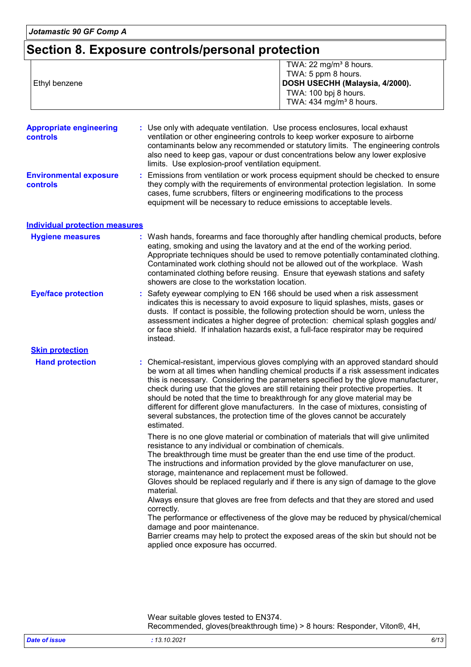## **Section 8. Exposure controls/personal protection**

| Ethyl benzene                              | TWA: 22 mg/m <sup>3</sup> 8 hours.<br>TWA: 5 ppm 8 hours.<br>DOSH USECHH (Malaysia, 4/2000).<br>TWA: 100 bpj 8 hours.<br>TWA: 434 mg/m <sup>3</sup> 8 hours.                                                                                                                                                                                                                                                                                                                                                                                                                                                                                                                                                                                                                                                                      |
|--------------------------------------------|-----------------------------------------------------------------------------------------------------------------------------------------------------------------------------------------------------------------------------------------------------------------------------------------------------------------------------------------------------------------------------------------------------------------------------------------------------------------------------------------------------------------------------------------------------------------------------------------------------------------------------------------------------------------------------------------------------------------------------------------------------------------------------------------------------------------------------------|
| <b>Appropriate engineering</b><br>controls | : Use only with adequate ventilation. Use process enclosures, local exhaust<br>ventilation or other engineering controls to keep worker exposure to airborne<br>contaminants below any recommended or statutory limits. The engineering controls<br>also need to keep gas, vapour or dust concentrations below any lower explosive<br>limits. Use explosion-proof ventilation equipment.                                                                                                                                                                                                                                                                                                                                                                                                                                          |
| <b>Environmental exposure</b><br>controls  | Emissions from ventilation or work process equipment should be checked to ensure<br>they comply with the requirements of environmental protection legislation. In some<br>cases, fume scrubbers, filters or engineering modifications to the process<br>equipment will be necessary to reduce emissions to acceptable levels.                                                                                                                                                                                                                                                                                                                                                                                                                                                                                                     |
| <b>Individual protection measures</b>      |                                                                                                                                                                                                                                                                                                                                                                                                                                                                                                                                                                                                                                                                                                                                                                                                                                   |
| <b>Hygiene measures</b>                    | : Wash hands, forearms and face thoroughly after handling chemical products, before<br>eating, smoking and using the lavatory and at the end of the working period.<br>Appropriate techniques should be used to remove potentially contaminated clothing.<br>Contaminated work clothing should not be allowed out of the workplace. Wash<br>contaminated clothing before reusing. Ensure that eyewash stations and safety<br>showers are close to the workstation location.                                                                                                                                                                                                                                                                                                                                                       |
| <b>Eye/face protection</b>                 | : Safety eyewear complying to EN 166 should be used when a risk assessment<br>indicates this is necessary to avoid exposure to liquid splashes, mists, gases or<br>dusts. If contact is possible, the following protection should be worn, unless the<br>assessment indicates a higher degree of protection: chemical splash goggles and/<br>or face shield. If inhalation hazards exist, a full-face respirator may be required<br>instead.                                                                                                                                                                                                                                                                                                                                                                                      |
| <b>Skin protection</b>                     |                                                                                                                                                                                                                                                                                                                                                                                                                                                                                                                                                                                                                                                                                                                                                                                                                                   |
| <b>Hand protection</b>                     | : Chemical-resistant, impervious gloves complying with an approved standard should<br>be worn at all times when handling chemical products if a risk assessment indicates<br>this is necessary. Considering the parameters specified by the glove manufacturer,<br>check during use that the gloves are still retaining their protective properties. It<br>should be noted that the time to breakthrough for any glove material may be<br>different for different glove manufacturers. In the case of mixtures, consisting of<br>several substances, the protection time of the gloves cannot be accurately<br>estimated.                                                                                                                                                                                                         |
|                                            | There is no one glove material or combination of materials that will give unlimited<br>resistance to any individual or combination of chemicals.<br>The breakthrough time must be greater than the end use time of the product.<br>The instructions and information provided by the glove manufacturer on use,<br>storage, maintenance and replacement must be followed.<br>Gloves should be replaced regularly and if there is any sign of damage to the glove<br>material.<br>Always ensure that gloves are free from defects and that they are stored and used<br>correctly.<br>The performance or effectiveness of the glove may be reduced by physical/chemical<br>damage and poor maintenance.<br>Barrier creams may help to protect the exposed areas of the skin but should not be<br>applied once exposure has occurred. |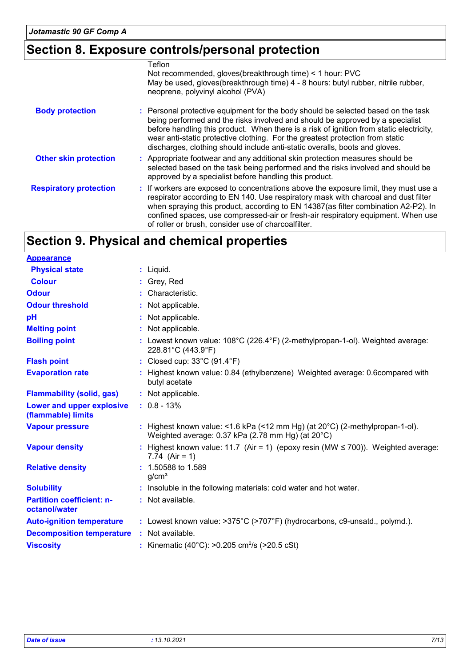## **Section 8. Exposure controls/personal protection**

|                               | Teflon<br>Not recommended, gloves (breakthrough time) < 1 hour: PVC                                                                                                                                                                                                                                                                                                                                                           |
|-------------------------------|-------------------------------------------------------------------------------------------------------------------------------------------------------------------------------------------------------------------------------------------------------------------------------------------------------------------------------------------------------------------------------------------------------------------------------|
|                               | May be used, gloves(breakthrough time) 4 - 8 hours: butyl rubber, nitrile rubber,<br>neoprene, polyvinyl alcohol (PVA)                                                                                                                                                                                                                                                                                                        |
| <b>Body protection</b>        | : Personal protective equipment for the body should be selected based on the task<br>being performed and the risks involved and should be approved by a specialist<br>before handling this product. When there is a risk of ignition from static electricity,<br>wear anti-static protective clothing. For the greatest protection from static<br>discharges, clothing should include anti-static overalls, boots and gloves. |
| <b>Other skin protection</b>  | : Appropriate footwear and any additional skin protection measures should be<br>selected based on the task being performed and the risks involved and should be<br>approved by a specialist before handling this product.                                                                                                                                                                                                     |
| <b>Respiratory protection</b> | : If workers are exposed to concentrations above the exposure limit, they must use a<br>respirator according to EN 140. Use respiratory mask with charcoal and dust filter<br>when spraying this product, according to EN 14387(as filter combination A2-P2). In<br>confined spaces, use compressed-air or fresh-air respiratory equipment. When use<br>of roller or brush, consider use of charcoalfilter.                   |

## **Section 9. Physical and chemical properties**

| <b>Appearance</b>                                 |                                                                                                                                             |
|---------------------------------------------------|---------------------------------------------------------------------------------------------------------------------------------------------|
| <b>Physical state</b>                             | $:$ Liquid.                                                                                                                                 |
| <b>Colour</b>                                     | : Grey, Red                                                                                                                                 |
| <b>Odour</b>                                      | : Characteristic.                                                                                                                           |
| <b>Odour threshold</b>                            | : Not applicable.                                                                                                                           |
| pH                                                | : Not applicable.                                                                                                                           |
| <b>Melting point</b>                              | : Not applicable.                                                                                                                           |
| <b>Boiling point</b>                              | : Lowest known value: $108^{\circ}$ C (226.4 $^{\circ}$ F) (2-methylpropan-1-ol). Weighted average:<br>228.81°C (443.9°F)                   |
| <b>Flash point</b>                                | : Closed cup: 33°C (91.4°F)                                                                                                                 |
| <b>Evaporation rate</b>                           | : Highest known value: 0.84 (ethylbenzene) Weighted average: 0.6compared with<br>butyl acetate                                              |
| <b>Flammability (solid, gas)</b>                  | : Not applicable.                                                                                                                           |
| Lower and upper explosive<br>(flammable) limits   | $: 0.8 - 13%$                                                                                                                               |
| <b>Vapour pressure</b>                            | : Highest known value: <1.6 kPa (<12 mm Hg) (at $20^{\circ}$ C) (2-methylpropan-1-ol).<br>Weighted average: 0.37 kPa (2.78 mm Hg) (at 20°C) |
| <b>Vapour density</b>                             | : Highest known value: 11.7 (Air = 1) (epoxy resin (MW $\leq$ 700)). Weighted average:<br>7.74 $(Air = 1)$                                  |
| <b>Relative density</b>                           | : 1.50588 to 1.589<br>q/cm <sup>3</sup>                                                                                                     |
| <b>Solubility</b>                                 | : Insoluble in the following materials: cold water and hot water.                                                                           |
| <b>Partition coefficient: n-</b><br>octanol/water | : Not available.                                                                                                                            |
| <b>Auto-ignition temperature</b>                  | : Lowest known value: >375°C (>707°F) (hydrocarbons, c9-unsatd., polymd.).                                                                  |
| <b>Decomposition temperature</b>                  | : Not available.                                                                                                                            |
| <b>Viscosity</b>                                  | : Kinematic (40°C): >0.205 cm <sup>2</sup> /s (>20.5 cSt)                                                                                   |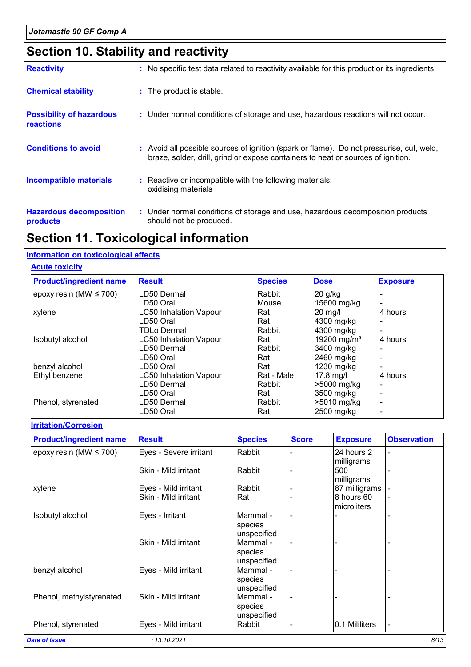## **Section 10. Stability and reactivity**

| <b>Reactivity</b>                            | : No specific test data related to reactivity available for this product or its ingredients.                                                                                 |
|----------------------------------------------|------------------------------------------------------------------------------------------------------------------------------------------------------------------------------|
| <b>Chemical stability</b>                    | : The product is stable.                                                                                                                                                     |
| <b>Possibility of hazardous</b><br>reactions | : Under normal conditions of storage and use, hazardous reactions will not occur.                                                                                            |
| <b>Conditions to avoid</b>                   | : Avoid all possible sources of ignition (spark or flame). Do not pressurise, cut, weld,<br>braze, solder, drill, grind or expose containers to heat or sources of ignition. |
| <b>Incompatible materials</b>                | : Reactive or incompatible with the following materials:<br>oxidising materials                                                                                              |
| <b>Hazardous decomposition</b><br>products   | : Under normal conditions of storage and use, hazardous decomposition products<br>should not be produced.                                                                    |

## **Section 11. Toxicological information**

#### **Information on toxicological effects**

#### **Acute toxicity**

| <b>Product/ingredient name</b> | <b>Result</b>                 | <b>Species</b> | <b>Dose</b>             | <b>Exposure</b> |
|--------------------------------|-------------------------------|----------------|-------------------------|-----------------|
| epoxy resin (MW $\leq$ 700)    | LD50 Dermal                   | Rabbit         | $20$ g/kg               |                 |
|                                | LD50 Oral                     | Mouse          | 15600 mg/kg             |                 |
| xylene                         | <b>LC50 Inhalation Vapour</b> | Rat            | $20$ mg/l               | 4 hours         |
|                                | LD50 Oral                     | Rat            | 4300 mg/kg              |                 |
|                                | <b>TDLo Dermal</b>            | Rabbit         | 4300 mg/kg              |                 |
| Isobutyl alcohol               | <b>LC50 Inhalation Vapour</b> | Rat            | 19200 mg/m <sup>3</sup> | 4 hours         |
|                                | LD50 Dermal                   | Rabbit         | 3400 mg/kg              |                 |
|                                | LD50 Oral                     | Rat            | 2460 mg/kg              |                 |
| benzyl alcohol                 | LD50 Oral                     | Rat            | 1230 mg/kg              |                 |
| Ethyl benzene                  | <b>LC50 Inhalation Vapour</b> | Rat - Male     | 17.8 mg/l               | 4 hours         |
|                                | LD50 Dermal                   | Rabbit         | >5000 mg/kg             | -               |
|                                | LD50 Oral                     | Rat            | 3500 mg/kg              |                 |
| Phenol, styrenated             | LD50 Dermal                   | Rabbit         | >5010 mg/kg             | -               |
|                                | LD50 Oral                     | Rat            | 2500 mg/kg              |                 |

#### **Irritation/Corrosion**

| <b>Product/ingredient name</b> | <b>Result</b>          | <b>Species</b> | <b>Score</b> | <b>Exposure</b> | <b>Observation</b> |
|--------------------------------|------------------------|----------------|--------------|-----------------|--------------------|
| epoxy resin (MW $\leq$ 700)    | Eyes - Severe irritant | Rabbit         |              | 24 hours 2      |                    |
|                                |                        |                |              | milligrams      |                    |
|                                | Skin - Mild irritant   | Rabbit         |              | 500             |                    |
|                                |                        |                |              | milligrams      |                    |
| xylene                         | Eyes - Mild irritant   | Rabbit         |              | 87 milligrams   |                    |
|                                | Skin - Mild irritant   | Rat            |              | 8 hours 60      |                    |
|                                |                        |                |              | microliters     |                    |
| Isobutyl alcohol               | Eyes - Irritant        | Mammal -       |              |                 |                    |
|                                |                        | species        |              |                 |                    |
|                                |                        | unspecified    |              |                 |                    |
|                                | Skin - Mild irritant   | Mammal -       |              |                 |                    |
|                                |                        | species        |              |                 |                    |
|                                |                        | unspecified    |              |                 |                    |
| benzyl alcohol                 | Eyes - Mild irritant   | Mammal -       |              |                 |                    |
|                                |                        | species        |              |                 |                    |
|                                |                        | unspecified    |              |                 |                    |
| Phenol, methylstyrenated       | Skin - Mild irritant   | Mammal -       |              |                 |                    |
|                                |                        | species        |              |                 |                    |
|                                |                        | unspecified    |              |                 |                    |
| Phenol, styrenated             | Eyes - Mild irritant   | Rabbit         |              | 0.1 Mililiters  | $\blacksquare$     |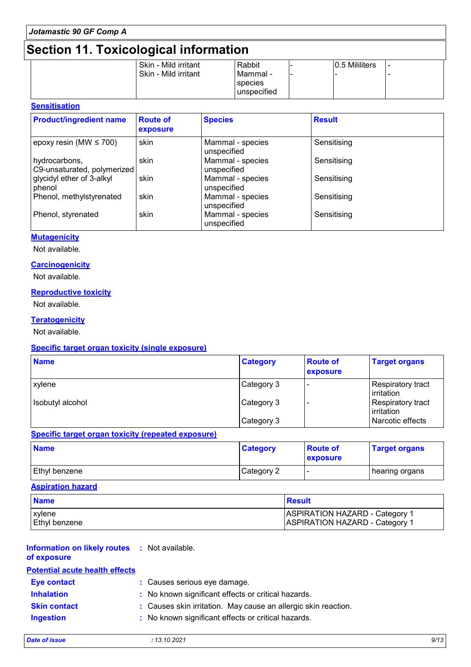## **Section 11. Toxicological information**

|  | Skin - Mild irritant | Rabbit                |     | 0.5 Mililiters |  |
|--|----------------------|-----------------------|-----|----------------|--|
|  | Skin - Mild irritant | l Mammal -<br>species | ' – |                |  |
|  |                      | unspecified           |     |                |  |

#### **Sensitisation**

| <b>Product/ingredient name</b>               | <b>Route of</b><br>exposure | <b>Species</b>                  | <b>Result</b> |
|----------------------------------------------|-----------------------------|---------------------------------|---------------|
| epoxy resin (MW $\leq$ 700)                  | skin                        | Mammal - species<br>unspecified | Sensitising   |
| hydrocarbons,<br>C9-unsaturated, polymerized | skin                        | Mammal - species<br>unspecified | Sensitising   |
| glycidyl ether of 3-alkyl<br>phenol          | skin                        | Mammal - species<br>unspecified | Sensitising   |
| Phenol, methylstyrenated                     | skin                        | Mammal - species<br>unspecified | Sensitising   |
| Phenol, styrenated                           | skin                        | Mammal - species<br>unspecified | Sensitising   |

#### **Mutagenicity**

Not available.

#### **Carcinogenicity**

Not available.

#### **Reproductive toxicity**

Not available.

#### **Teratogenicity**

Not available.

#### **Specific target organ toxicity (single exposure)**

| <b>Name</b>      | <b>Category</b> | <b>Route of</b><br>exposure | <b>Target organs</b>            |
|------------------|-----------------|-----------------------------|---------------------------------|
| xylene           | Category 3      |                             | Respiratory tract<br>irritation |
| Isobutyl alcohol | Category 3      |                             | Respiratory tract<br>Irritation |
|                  | Category 3      |                             | Narcotic effects                |

#### **Specific target organ toxicity (repeated exposure)**

| <b>Name</b>          | <b>Category</b> | <b>Route of</b><br><b>exposure</b> | <b>Target organs</b> |
|----------------------|-----------------|------------------------------------|----------------------|
| <b>Ethyl benzene</b> | Category 2      | . .                                | ∣ hearing organs     |

#### **Aspiration hazard**

| <b>Name</b>          | Result                                |
|----------------------|---------------------------------------|
| <b>xylene</b>        | <b>ASPIRATION HAZARD - Category 1</b> |
| <b>Ethyl benzene</b> | <b>ASPIRATION HAZARD - Category 1</b> |

| <b>Information on likely routes : Not available.</b><br>of exposure |                                                                |
|---------------------------------------------------------------------|----------------------------------------------------------------|
| <b>Potential acute health effects</b>                               |                                                                |
| <b>Eye contact</b>                                                  | : Causes serious eye damage.                                   |
| <b>Inhalation</b>                                                   | : No known significant effects or critical hazards.            |
| <b>Skin contact</b>                                                 | : Causes skin irritation. May cause an allergic skin reaction. |
| <b>Ingestion</b>                                                    | : No known significant effects or critical hazards.            |
|                                                                     |                                                                |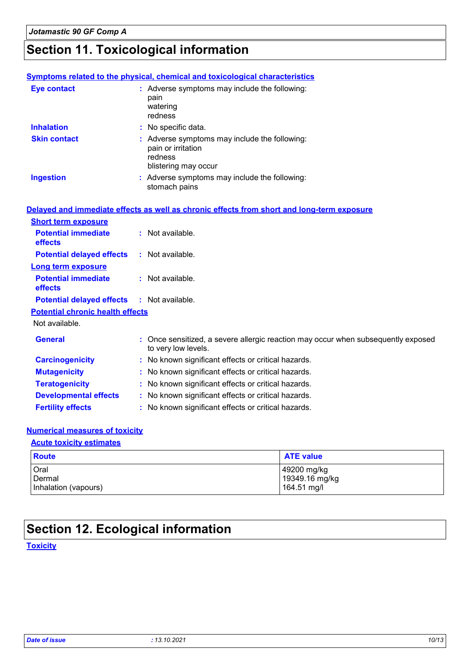## **Section 11. Toxicological information**

|                                         | <b>Symptoms related to the physical, chemical and toxicological characteristics</b>                      |
|-----------------------------------------|----------------------------------------------------------------------------------------------------------|
| <b>Eye contact</b>                      | : Adverse symptoms may include the following:<br>pain<br>watering<br>redness                             |
| <b>Inhalation</b>                       | : No specific data.                                                                                      |
| <b>Skin contact</b>                     | : Adverse symptoms may include the following:<br>pain or irritation<br>redness<br>blistering may occur   |
| <b>Ingestion</b>                        | : Adverse symptoms may include the following:<br>stomach pains                                           |
|                                         | Delayed and immediate effects as well as chronic effects from short and long-term exposure               |
| <b>Short term exposure</b>              |                                                                                                          |
| <b>Potential immediate</b><br>effects   | : Not available.                                                                                         |
| <b>Potential delayed effects</b>        | : Not available.                                                                                         |
| <b>Long term exposure</b>               |                                                                                                          |
| <b>Potential immediate</b><br>effects   | : Not available.                                                                                         |
| <b>Potential delayed effects</b>        | : Not available.                                                                                         |
| <b>Potential chronic health effects</b> |                                                                                                          |
| Not available.                          |                                                                                                          |
| <b>General</b>                          | : Once sensitized, a severe allergic reaction may occur when subsequently exposed<br>to very low levels. |
| <b>Carcinogenicity</b>                  | : No known significant effects or critical hazards.                                                      |
| <b>Mutagenicity</b>                     | : No known significant effects or critical hazards.                                                      |
| <b>Teratogenicity</b>                   | : No known significant effects or critical hazards.                                                      |
| <b>Developmental effects</b>            | : No known significant effects or critical hazards.                                                      |
| <b>Fertility effects</b>                | : No known significant effects or critical hazards.                                                      |

#### **Numerical measures of toxicity**

#### **Acute toxicity estimates**

| Route                | <b>ATE value</b> |
|----------------------|------------------|
| Oral                 | 49200 mg/kg      |
| Dermal               | 19349.16 mg/kg   |
| Inhalation (vapours) | 164.51 mg/l      |

## **Section 12. Ecological information**

#### **Toxicity**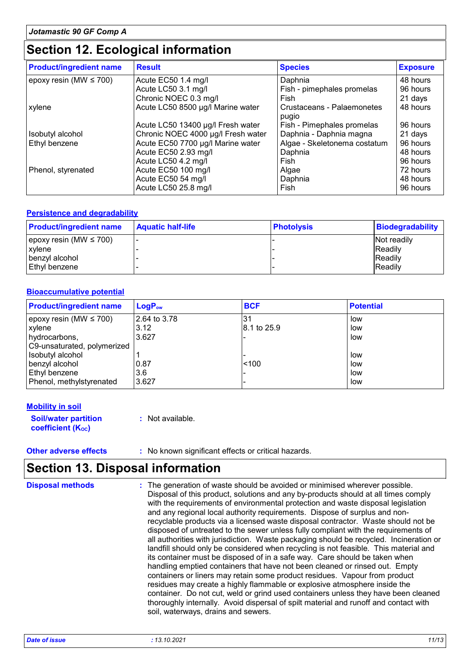## **Section 12. Ecological information**

| <b>Product/ingredient name</b> | <b>Result</b>                      | <b>Species</b>                      | <b>Exposure</b> |
|--------------------------------|------------------------------------|-------------------------------------|-----------------|
| epoxy resin (MW $\leq$ 700)    | Acute EC50 1.4 mg/l                | Daphnia                             | 48 hours        |
|                                | Acute LC50 3.1 mg/l                | Fish - pimephales promelas          | 96 hours        |
|                                | Chronic NOEC 0.3 mg/l              | Fish                                | 21 days         |
| xylene                         | Acute LC50 8500 µg/l Marine water  | Crustaceans - Palaemonetes<br>pugio | 48 hours        |
|                                | Acute LC50 13400 µg/l Fresh water  | Fish - Pimephales promelas          | 96 hours        |
| Isobutyl alcohol               | Chronic NOEC 4000 µg/l Fresh water | Daphnia - Daphnia magna             | 21 days         |
| Ethyl benzene                  | Acute EC50 7700 µg/l Marine water  | Algae - Skeletonema costatum        | 96 hours        |
|                                | Acute EC50 2.93 mg/l               | Daphnia                             | 48 hours        |
|                                | Acute LC50 4.2 mg/l                | Fish                                | 96 hours        |
| Phenol, styrenated             | Acute EC50 100 mg/l                | Algae                               | 72 hours        |
|                                | Acute EC50 54 mg/l                 | Daphnia                             | 48 hours        |
|                                | Acute LC50 25.8 mg/l               | Fish                                | 96 hours        |

#### **Persistence and degradability**

| <b>Product/ingredient name</b> | <b>Aquatic half-life</b> | <b>Photolysis</b> | <b>Biodegradability</b> |
|--------------------------------|--------------------------|-------------------|-------------------------|
| epoxy resin (MW $\leq$ 700)    |                          |                   | Not readily             |
| xylene                         |                          |                   | <b>IReadily</b>         |
| benzyl alcohol                 |                          |                   | <b>Readily</b>          |
| Ethyl benzene                  |                          |                   | <b>Readily</b>          |

#### **Bioaccumulative potential**

| <b>Product/ingredient name</b> | <b>LogP</b> <sub>ow</sub> | <b>BCF</b>  | <b>Potential</b> |
|--------------------------------|---------------------------|-------------|------------------|
| epoxy resin (MW $\leq$ 700)    | 2.64 to 3.78              |             | low              |
| <b>xylene</b>                  | 3.12                      | 8.1 to 25.9 | low              |
| hydrocarbons,                  | 3.627                     |             | low              |
| C9-unsaturated, polymerized    |                           |             |                  |
| Isobutyl alcohol               |                           |             | low              |
| benzyl alcohol                 | 0.87                      | < 100       | low              |
| Ethyl benzene                  | 3.6                       |             | low              |
| Phenol, methylstyrenated       | 3.627                     |             | low              |

#### **Mobility in soil**

**Soil/water partition coefficient (Koc) :** Not available.

**Other adverse effects** : No known significant effects or critical hazards.

## **Section 13. Disposal information**

| <b>Disposal methods</b> | : The generation of waste should be avoided or minimised wherever possible.<br>Disposal of this product, solutions and any by-products should at all times comply<br>with the requirements of environmental protection and waste disposal legislation<br>and any regional local authority requirements. Dispose of surplus and non-<br>recyclable products via a licensed waste disposal contractor. Waste should not be<br>disposed of untreated to the sewer unless fully compliant with the requirements of<br>all authorities with jurisdiction. Waste packaging should be recycled. Incineration or<br>landfill should only be considered when recycling is not feasible. This material and<br>its container must be disposed of in a safe way. Care should be taken when<br>handling emptied containers that have not been cleaned or rinsed out. Empty<br>containers or liners may retain some product residues. Vapour from product<br>residues may create a highly flammable or explosive atmosphere inside the<br>container. Do not cut, weld or grind used containers unless they have been cleaned<br>thoroughly internally. Avoid dispersal of spilt material and runoff and contact with |
|-------------------------|--------------------------------------------------------------------------------------------------------------------------------------------------------------------------------------------------------------------------------------------------------------------------------------------------------------------------------------------------------------------------------------------------------------------------------------------------------------------------------------------------------------------------------------------------------------------------------------------------------------------------------------------------------------------------------------------------------------------------------------------------------------------------------------------------------------------------------------------------------------------------------------------------------------------------------------------------------------------------------------------------------------------------------------------------------------------------------------------------------------------------------------------------------------------------------------------------------|
|                         | soil, waterways, drains and sewers.                                                                                                                                                                                                                                                                                                                                                                                                                                                                                                                                                                                                                                                                                                                                                                                                                                                                                                                                                                                                                                                                                                                                                                    |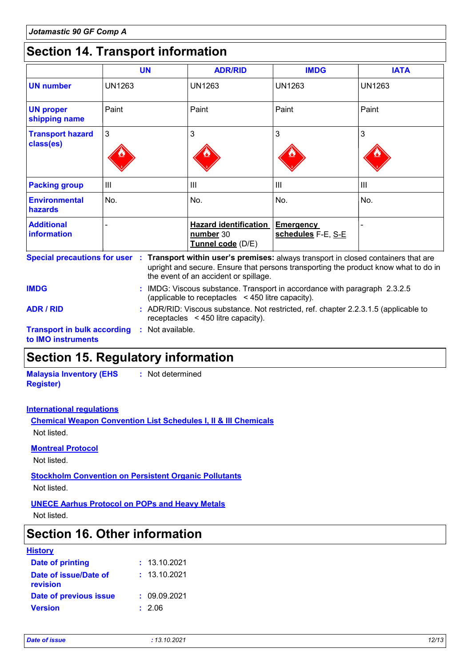## **Section 14. Transport information**

|                                        | <b>UN</b>     | <b>ADR/RID</b>                                                 | <b>IMDG</b>                            | <b>IATA</b>    |
|----------------------------------------|---------------|----------------------------------------------------------------|----------------------------------------|----------------|
| <b>UN number</b>                       | <b>UN1263</b> | <b>UN1263</b>                                                  | <b>UN1263</b>                          | <b>UN1263</b>  |
| <b>UN proper</b><br>shipping name      | Paint         | Paint                                                          | Paint                                  | Paint          |
| <b>Transport hazard</b><br>class(es)   | 3             | 3                                                              | 3                                      | 3              |
| <b>Packing group</b>                   | III           | III                                                            | $\mathbf{III}$                         | $\mathbf{III}$ |
| <b>Environmental</b><br><b>hazards</b> | No.           | No.                                                            | No.                                    | No.            |
| <b>Additional</b><br>information       |               | <b>Hazard identification</b><br>number 30<br>Tunnel code (D/E) | <b>Emergency</b><br>schedules F-E, S-E |                |

**Transport in bulk according :** Not available. **to IMO instruments** upright and secure. Ensure that persons transporting the product know what to do in the event of an accident or spillage. IMDG: Viscous substance. Transport in accordance with paragraph 2.3.2.5 **IMDG :** (applicable to receptacles < 450 litre capacity). **ADR / RID :** ADR/RID: Viscous substance. Not restricted, ref. chapter 2.2.3.1.5 (applicable to receptacles < 450 litre capacity).

### **Section 15. Regulatory information**

**Malaysia Inventory (EHS Register) :** Not determined

#### **International regulations**

**Chemical Weapon Convention List Schedules I, II & III Chemicals** Not listed.

#### **Montreal Protocol**

Not listed.

**Stockholm Convention on Persistent Organic Pollutants**

Not listed.

#### **UNECE Aarhus Protocol on POPs and Heavy Metals**

Not listed.

### **Section 16. Other information**

| <b>History</b> |  |  |
|----------------|--|--|
|                |  |  |

| <b>Date of printing</b>           | : 13.10.2021 |
|-----------------------------------|--------------|
| Date of issue/Date of<br>revision | : 13.10.2021 |
| Date of previous issue            | : 09.09.2021 |
| Version                           | : 2.06       |
|                                   |              |